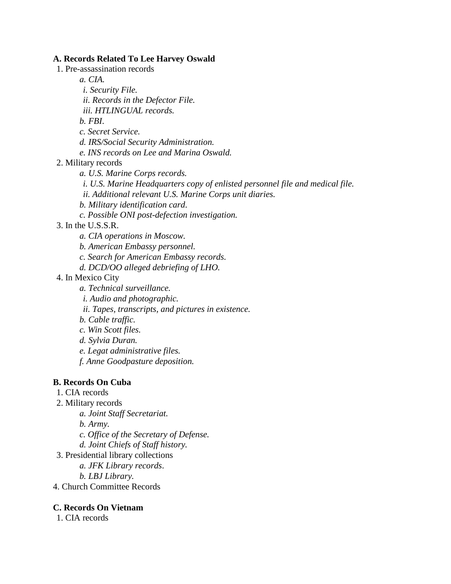#### **A. Records Related To Lee Harvey Oswald**

1. Pre-assassination records

*a. CIA.*

*i. Security File.*

*ii. Records in the Defector File.*

*iii. HTLINGUAL records.*

*b. FBI*.

*c. Secret Service.*

*d. IRS/Social Security Administration.*

*e. INS records on Lee and Marina Oswald.*

2. Military records

*a. U.S. Marine Corps records.*

*i. U.S. Marine Headquarters copy of enlisted personnel file and medical file.*

*ii. Additional relevant U.S. Marine Corps unit diaries.*

*b. Military identification card*.

*c. Possible ONI post-defection investigation.*

3. In the U.S.S.R.

*a. CIA operations in Moscow.*

*b. American Embassy personnel.*

*c. Search for American Embassy records.*

*d. DCD/OO alleged debriefing of LHO.*

### 4. In Mexico City

*a. Technical surveillance.*

*i. Audio and photographic.*

*ii. Tapes, transcripts, and pictures in existence.*

*b. Cable traffic.*

*c. Win Scott files.*

*d. Sylvia Duran.*

*e. Legat administrative files.*

*f. Anne Goodpasture deposition.*

#### **B. Records On Cuba**

1. CIA records

2. Military records

*a. Joint Staff Secretariat.*

*b. Army.*

*c. Office of the Secretary of Defense.*

*d. Joint Chiefs of Staff history.*

3. Presidential library collections

*a. JFK Library records*.

*b. LBJ Library.*

4. Church Committee Records

# **C. Records On Vietnam**

1. CIA records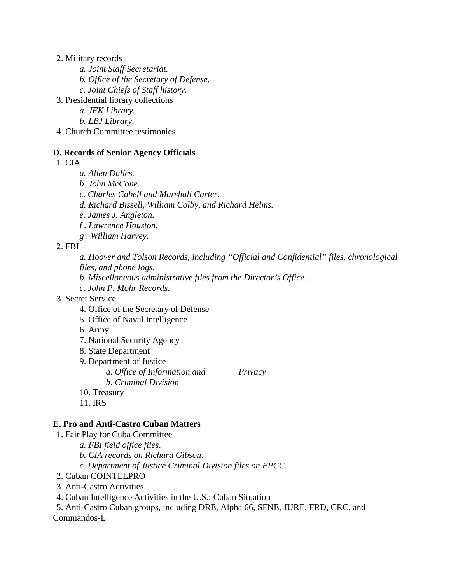2. Military records

- *a. Joint Staff Secretariat.*
- *b. Office of the Secretary of Defense.*
- *c. Joint Chiefs of Staff history.*
- 3. Presidential library collections
	- *a. JFK Library.*
	- *b. LBJ Library*.
- 4. Church Committee testimonies

#### **D. Records of Senior Agency Officials**

1. CIA

- *a. Allen Dulles.*
- *b. John McCone.*
- *c. Charles Cabell and Marshall Carter.*
- *d. Richard Bissell, William Colby, and Richard Helms.*
- *e. James J. Angleton.*
- *f . Lawrence Houston.*
- *g . William Harvey.*

2. FBI

*a. Hoover and Tolson Records, including "Official and Confidential" files, chronological files, and phone logs.*

- *b. Miscellaneous administrative files from the Director's Office.*
- *c. John P. Mohr Records*.
- 3. Secret Service
	- 4. Office of the Secretary of Defense
	- 5. Office of Naval Intelligence
	- 6. Army
	- 7. National Security Agency
	- 8. State Department
	- 9. Department of Justice
		- *a. Office of Information and Privacy b. Criminal Division*
	- 10. Treasury
	- 11. IRS

#### **E. Pro and Anti-Castro Cuban Matters**

- 1. Fair Play for Cuba Committee
	- *a. FBI field office files*.
	- *b. CIA records on Richard Gibson*.
	- *c. Department of Justice Criminal Division files on FPCC.*
- 2. Cuban COINTELPRO
- 3. Anti-Castro Activities
- 4. Cuban Intelligence Activities in the U.S.; Cuban Situation

5. Anti-Castro Cuban groups, including DRE, Alpha 66, SFNE, JURE, FRD, CRC, and Commandos-L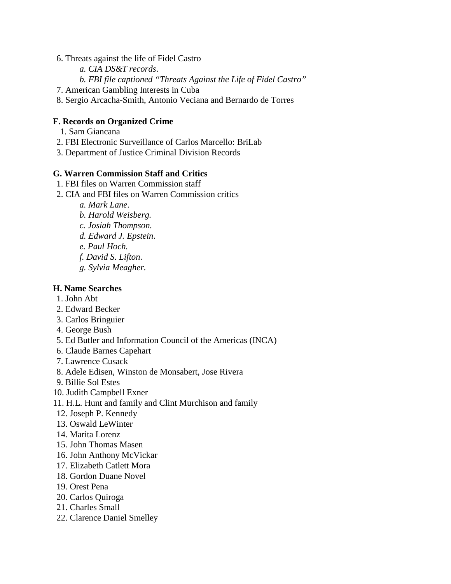#### 6. Threats against the life of Fidel Castro

- *a. CIA DS&T records*.
- *b. FBI file captioned "Threats Against the Life of Fidel Castro"*
- 7. American Gambling Interests in Cuba
- 8. Sergio Arcacha-Smith, Antonio Veciana and Bernardo de Torres

## **F. Records on Organized Crime**

- 1. Sam Giancana
- 2. FBI Electronic Surveillance of Carlos Marcello: BriLab
- 3. Department of Justice Criminal Division Records

### **G. Warren Commission Staff and Critics**

- 1. FBI files on Warren Commission staff
- 2. CIA and FBI files on Warren Commission critics
	- *a. Mark Lane*.
	- *b. Harold Weisberg.*
	- *c. Josiah Thompson.*
	- *d. Edward J. Epstein*.
	- *e. Paul Hoch.*
	- *f. David S. Lifton*.
	- *g. Sylvia Meagher.*

### **H. Name Searches**

- 1. John Abt
- 2. Edward Becker
- 3. Carlos Bringuier
- 4. George Bush
- 5. Ed Butler and Information Council of the Americas (INCA)
- 6. Claude Barnes Capehart
- 7. Lawrence Cusack
- 8. Adele Edisen, Winston de Monsabert, Jose Rivera
- 9. Billie Sol Estes
- 10. Judith Campbell Exner
- 11. H.L. Hunt and family and Clint Murchison and family
- 12. Joseph P. Kennedy
- 13. Oswald LeWinter
- 14. Marita Lorenz
- 15. John Thomas Masen
- 16. John Anthony McVickar
- 17. Elizabeth Catlett Mora
- 18. Gordon Duane Novel
- 19. Orest Pena
- 20. Carlos Quiroga
- 21. Charles Small
- 22. Clarence Daniel Smelley